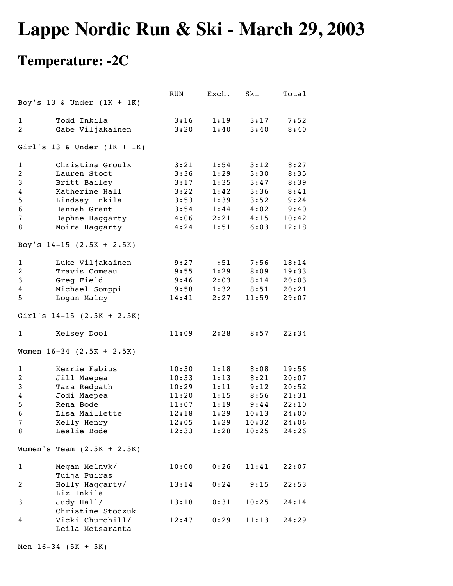## **Lappe Nordic Run & Ski - March 29, 2003**

## **Temperature: -2C**

|                               |                                               | RUN   | Exch. | Ski   | Total |  |  |  |
|-------------------------------|-----------------------------------------------|-------|-------|-------|-------|--|--|--|
|                               | Boy's 13 & Under $(1K + 1K)$                  |       |       |       |       |  |  |  |
|                               |                                               |       |       |       |       |  |  |  |
| 1                             | Todd Inkila                                   | 3:16  | 1:19  | 3:17  | 7:52  |  |  |  |
| 2                             | Gabe Viljakainen                              | 3:20  | 1:40  | 3:40  | 8:40  |  |  |  |
| Girl's 13 & Under $(1K + 1K)$ |                                               |       |       |       |       |  |  |  |
| $\mathbf{1}$                  | Christina Groulx                              | 3:21  | 1:54  | 3:12  | 8:27  |  |  |  |
| $\overline{c}$                | Lauren Stoot                                  | 3:36  | 1:29  | 3:30  | 8:35  |  |  |  |
| 3                             | Britt Bailey                                  | 3:17  | 1:35  | 3:47  | 8:39  |  |  |  |
| 4                             | Katherine Hall                                | 3:22  | 1:42  | 3:36  | 8:41  |  |  |  |
| 5                             | Lindsay Inkila                                | 3:53  | 1:39  | 3:52  | 9:24  |  |  |  |
| 6                             | Hannah Grant                                  | 3:54  | 1:44  | 4:02  | 9:40  |  |  |  |
| 7                             | Daphne Haggarty                               | 4:06  | 2:21  | 4:15  | 10:42 |  |  |  |
| 8                             | Moira Haggarty                                | 4:24  | 1:51  | 6:03  | 12:18 |  |  |  |
| Boy's $14-15$ (2.5K + 2.5K)   |                                               |       |       |       |       |  |  |  |
| $\mathbf{1}$                  | Luke Viljakainen                              | 9:27  | : 51  | 7:56  | 18:14 |  |  |  |
| $\overline{c}$                | Travis Comeau                                 | 9:55  | 1:29  | 8:09  | 19:33 |  |  |  |
| 3                             | Greg Field                                    | 9:46  | 2:03  | 8:14  | 20:03 |  |  |  |
| 4                             | Michael Somppi                                | 9:58  | 1:32  | 8:51  | 20:21 |  |  |  |
| 5                             | Logan Maley                                   | 14:41 | 2:27  | 11:59 | 29:07 |  |  |  |
|                               |                                               |       |       |       |       |  |  |  |
|                               | Girl's $14-15$ (2.5K + 2.5K)                  |       |       |       |       |  |  |  |
| 1                             | Kelsey Dool                                   | 11:09 | 2:28  | 8:57  | 22:34 |  |  |  |
| Women $16-34$ $(2.5K + 2.5K)$ |                                               |       |       |       |       |  |  |  |
| 1                             | Kerrie Fabius                                 | 10:30 | 1:18  | 8:08  | 19:56 |  |  |  |
| 2                             | Jill Maepea                                   | 10:33 | 1:13  | 8:21  | 20:07 |  |  |  |
| 3                             | Tara Redpath                                  | 10:29 | 1:11  | 9:12  | 20:52 |  |  |  |
| 4                             | Jodi Maepea                                   | 11:20 | 1:15  | 8:56  | 21:31 |  |  |  |
| 5                             | Rena Bode                                     | 11:07 | 1:19  | 9:44  | 22:10 |  |  |  |
| 6                             | Lisa Maillette                                | 12:18 | 1:29  | 10:13 | 24:00 |  |  |  |
| $7\overline{ }$               | Kelly Henry                                   | 12:05 | 1:29  | 10:32 | 24:06 |  |  |  |
| 8                             | Leslie Bode                                   | 12:33 | 1:28  | 10:25 | 24:26 |  |  |  |
|                               | Women's Team $(2.5K + 2.5K)$                  |       |       |       |       |  |  |  |
| $\mathbf{1}$                  | Megan Melnyk/                                 | 10:00 | 0:26  | 11:41 | 22:07 |  |  |  |
| 2                             | Tuija Puiras<br>Holly Haggarty/<br>Liz Inkila | 13:14 | 0:24  | 9:15  | 22:53 |  |  |  |
| 3                             | Judy Hall/<br>Christine Stoczuk               | 13:18 | 0:31  | 10:25 | 24:14 |  |  |  |
| 4                             | Vicki Churchill/<br>Leila Metsaranta          | 12:47 | 0:29  | 11:13 | 24:29 |  |  |  |

Men 16-34 (5K + 5K)